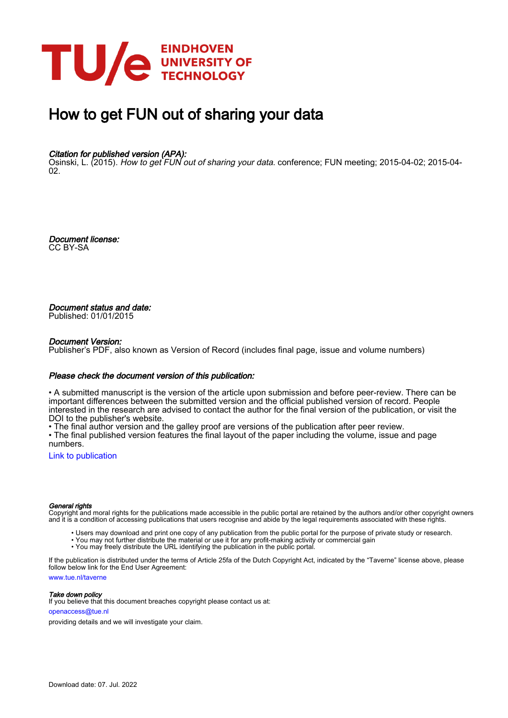

# How to get FUN out of sharing your data

### Citation for published version (APA):

Osinski, L. (2015). How to get FUN out of sharing your data. conference; FUN meeting; 2015-04-02; 2015-04- $02<sub>2</sub>$ 

Document license: CC BY-SA

Document status and date: Published: 01/01/2015

#### Document Version:

Publisher's PDF, also known as Version of Record (includes final page, issue and volume numbers)

#### Please check the document version of this publication:

• A submitted manuscript is the version of the article upon submission and before peer-review. There can be important differences between the submitted version and the official published version of record. People interested in the research are advised to contact the author for the final version of the publication, or visit the DOI to the publisher's website.

• The final author version and the galley proof are versions of the publication after peer review.

• The final published version features the final layout of the paper including the volume, issue and page numbers.

[Link to publication](https://research.tue.nl/en/publications/660461ff-494f-435e-9ed2-8f4dbe47088d)

#### General rights

Copyright and moral rights for the publications made accessible in the public portal are retained by the authors and/or other copyright owners and it is a condition of accessing publications that users recognise and abide by the legal requirements associated with these rights.

- Users may download and print one copy of any publication from the public portal for the purpose of private study or research.
- You may not further distribute the material or use it for any profit-making activity or commercial gain
- You may freely distribute the URL identifying the publication in the public portal.

If the publication is distributed under the terms of Article 25fa of the Dutch Copyright Act, indicated by the "Taverne" license above, please follow below link for the End User Agreement:

www.tue.nl/taverne

**Take down policy**<br>If you believe that this document breaches copyright please contact us at:

openaccess@tue.nl

providing details and we will investigate your claim.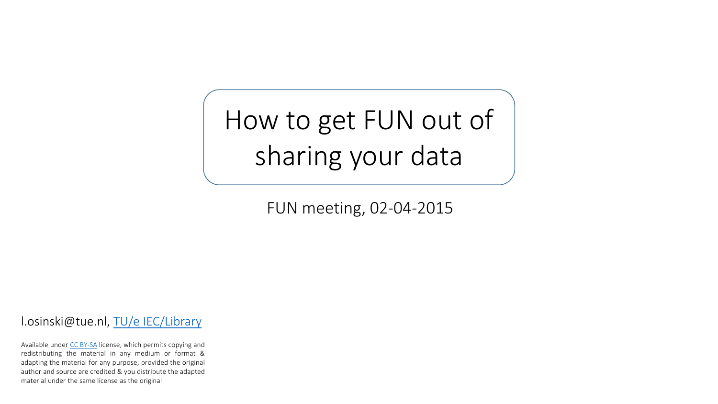How to get FUN out of sharing your data

FUN meeting, 02-04-2015

l.osinski@tue.nl, TU/e [IEC/Library](http://w3.tue.nl/en/services/library/)

Available under CC [BY-SA](http://creativecommons.org/licenses/by-sa/4.0/) license, which permits copying and redistributing the material in any medium or format & adapting the material for any purpose, provided the original author and source are credited & you distribute the adapted material under the same license as the original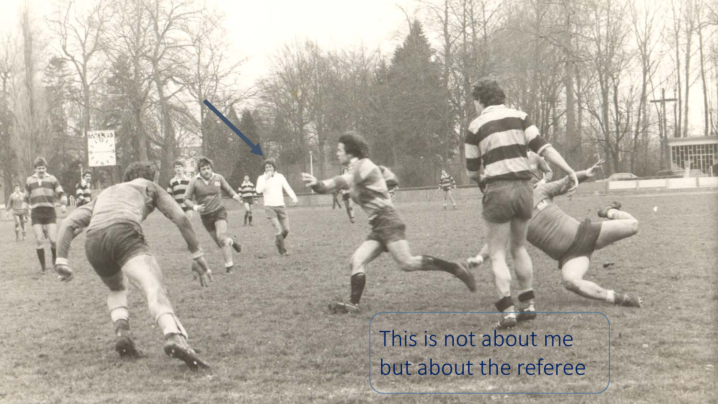# This is not about me but about the referee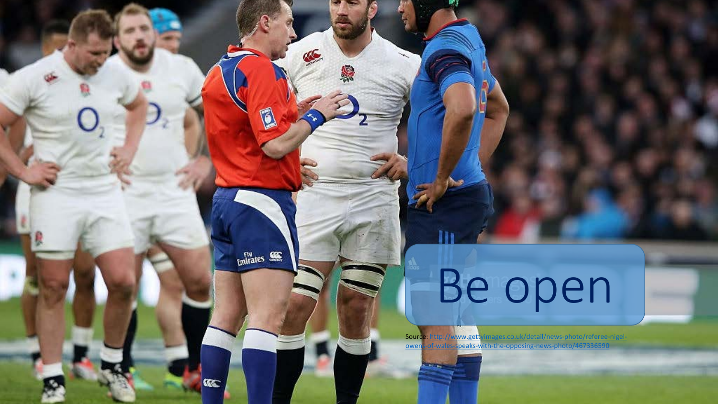# Be open

 $\epsilon$ 

D

 $Emitrates$ 

 $C_0$ 

编

[Source: http://www.gettyimages.co.uk/detail/news-photo/referee-nigel](http://www.gettyimages.co.uk/detail/news-photo/referee-nigel-owens-of-wales-speaks-with-the-opposing-news-photo/467336590)owens-of-wales-speaks-with-the-opposing-news-photo/467336590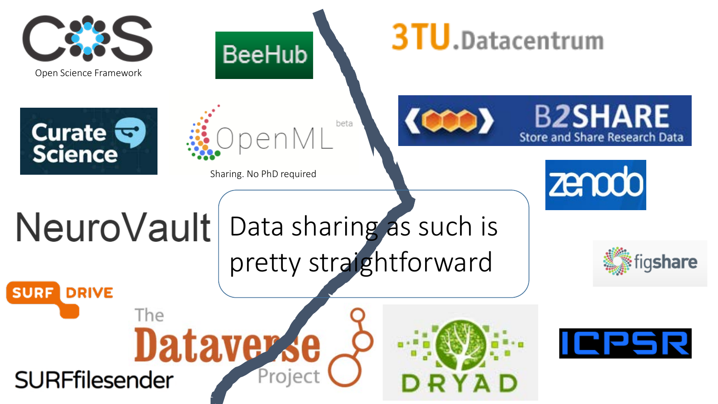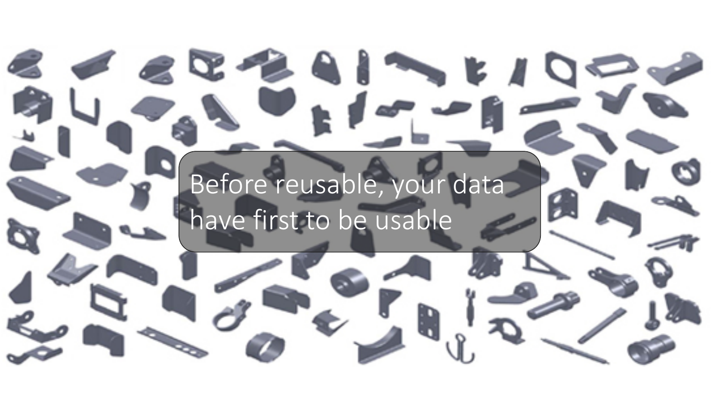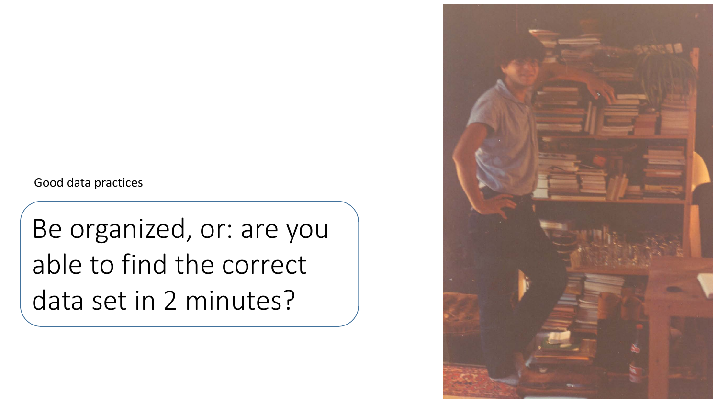# Be organized, or: are you able to find the correct data set in 2 minutes?

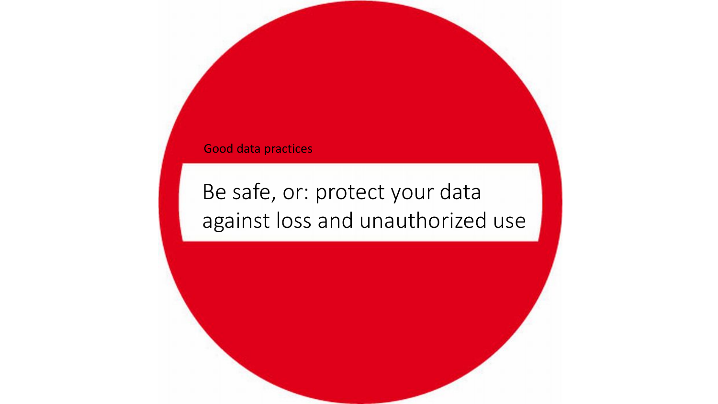# Be safe, or: protect your data against loss and unauthorized use

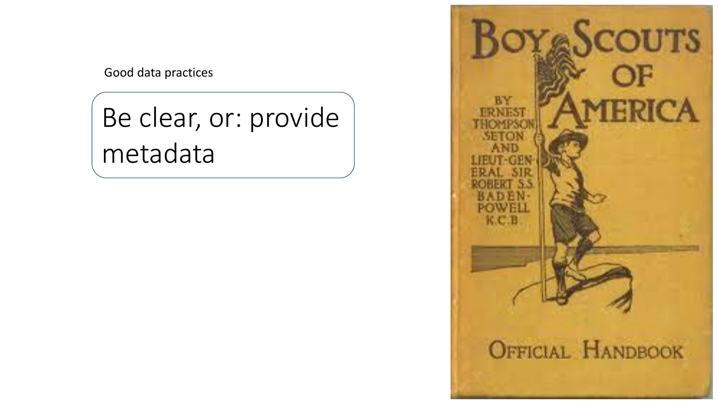Be clear, or: provide metadata

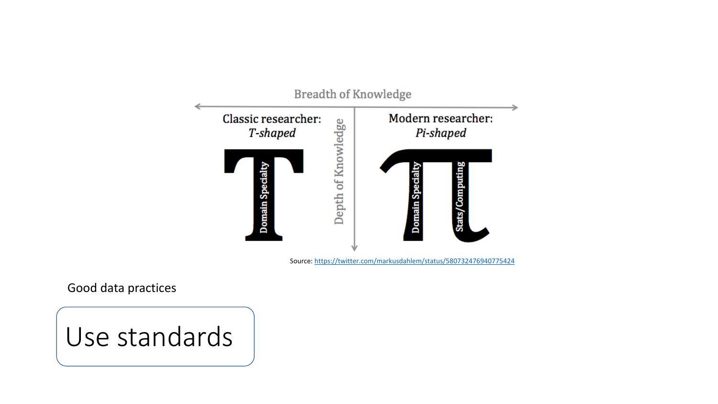

Source: <https://twitter.com/markusdahlem/status/580732476940775424>

Good data practices

# Use standards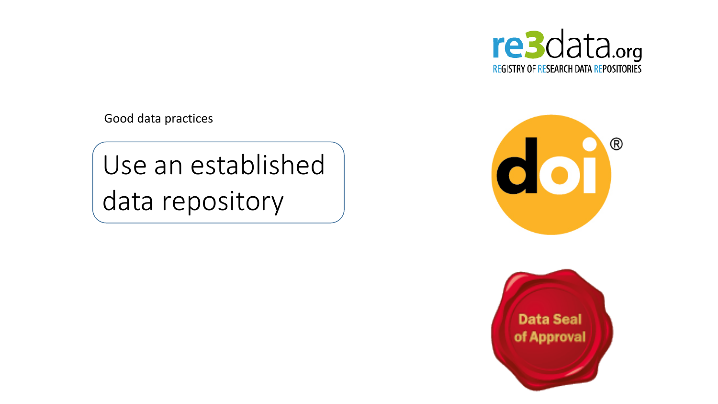

Use an established data repository



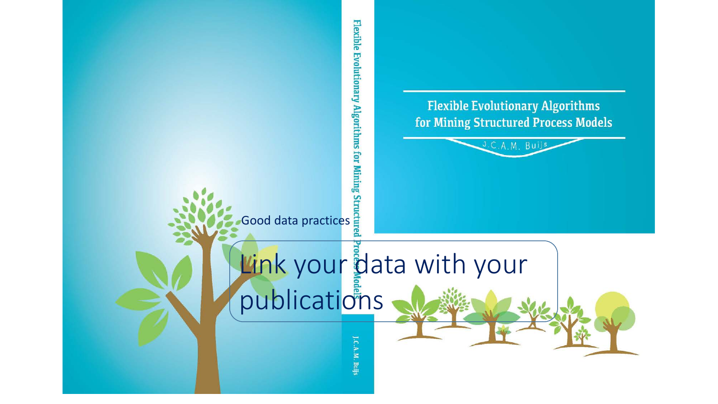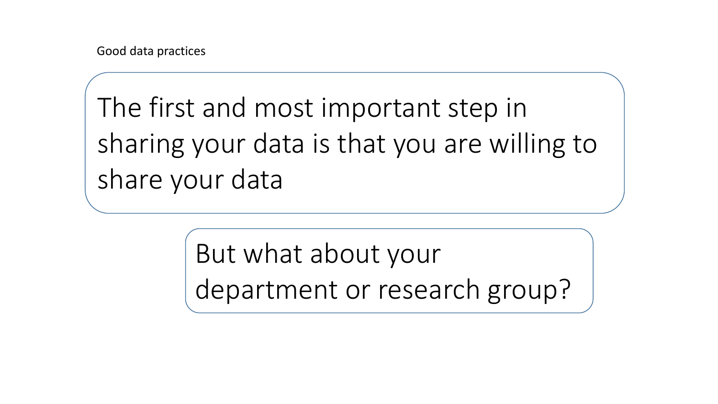The first and most important step in sharing your data is that you are willing to share your data

> But what about your department or research group?